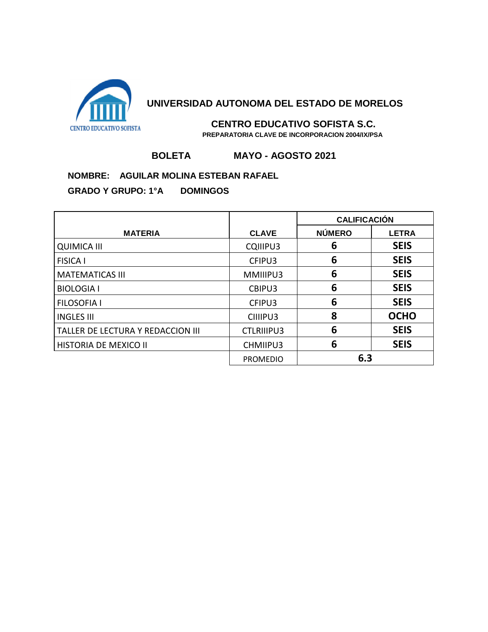

# **CENTRO EDUCATIVO SOFISTA S.C.**

 **PREPARATORIA CLAVE DE INCORPORACION 2004/IX/PSA**

# **BOLETA MAYO - AGOSTO 2021**

#### **NOMBRE: AGUILAR MOLINA ESTEBAN RAFAEL**

|                                   |                   | <b>CALIFICACIÓN</b> |              |
|-----------------------------------|-------------------|---------------------|--------------|
| <b>MATERIA</b>                    | <b>CLAVE</b>      | <b>NÚMERO</b>       | <b>LETRA</b> |
| <b>QUIMICA III</b>                | CQIIIPU3          | 6                   | <b>SEIS</b>  |
| <b>FISICA I</b>                   | CFIPU3            | 6                   | <b>SEIS</b>  |
| <b>MATEMATICAS III</b>            | MMIIIPU3          | 6                   | <b>SEIS</b>  |
| <b>BIOLOGIA I</b>                 | CBIPU3            | 6                   | <b>SEIS</b>  |
| <b>FILOSOFIA I</b>                | CFIPU3            | 6                   | <b>SEIS</b>  |
| <b>INGLES III</b>                 | CIIIPU3           | 8                   | <b>OCHO</b>  |
| TALLER DE LECTURA Y REDACCION III | <b>CTLRIIIPU3</b> | 6                   | <b>SEIS</b>  |
| HISTORIA DE MEXICO II             | CHMIIPU3          | 6                   | <b>SEIS</b>  |
|                                   | <b>PROMEDIO</b>   | 6.3                 |              |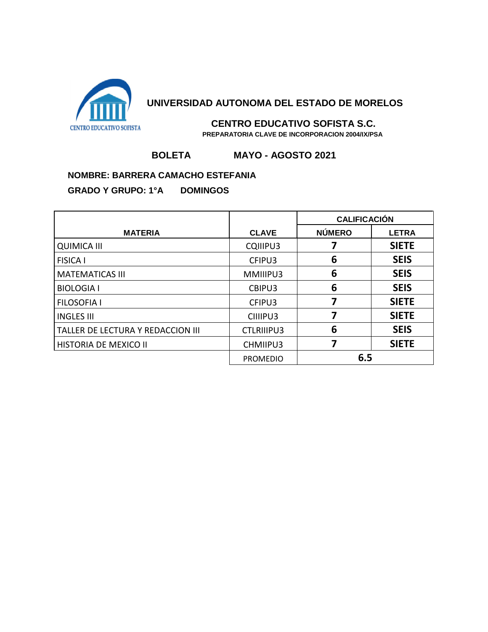

# **CENTRO EDUCATIVO SOFISTA S.C.**

 **PREPARATORIA CLAVE DE INCORPORACION 2004/IX/PSA**

# **BOLETA MAYO - AGOSTO 2021**

#### **NOMBRE: BARRERA CAMACHO ESTEFANIA**

|                                   |                   | <b>CALIFICACIÓN</b> |              |
|-----------------------------------|-------------------|---------------------|--------------|
| <b>MATERIA</b>                    | <b>CLAVE</b>      | <b>NÚMERO</b>       | <b>LETRA</b> |
| <b>QUIMICA III</b>                | CQIIIPU3          |                     | <b>SIETE</b> |
| <b>FISICA I</b>                   | CFIPU3            | 6                   | <b>SEIS</b>  |
| <b>MATEMATICAS III</b>            | MMIIIPU3          | 6                   | <b>SEIS</b>  |
| <b>BIOLOGIA I</b>                 | CBIPU3            | 6                   | <b>SEIS</b>  |
| <b>FILOSOFIA I</b>                | CFIPU3            |                     | <b>SIETE</b> |
| <b>INGLES III</b>                 | CIIIPU3           |                     | <b>SIETE</b> |
| TALLER DE LECTURA Y REDACCION III | <b>CTLRIIIPU3</b> | 6                   | <b>SEIS</b>  |
| HISTORIA DE MEXICO II             | CHMIIPU3          |                     | <b>SIETE</b> |
|                                   | <b>PROMEDIO</b>   | 6.5                 |              |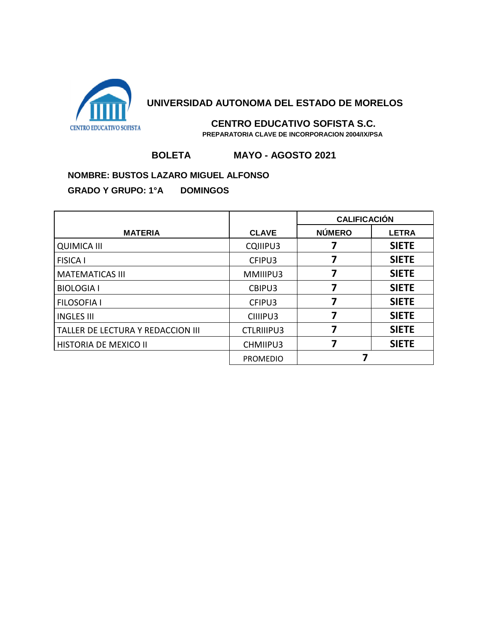

# **CENTRO EDUCATIVO SOFISTA S.C.**

 **PREPARATORIA CLAVE DE INCORPORACION 2004/IX/PSA**

## **BOLETA MAYO - AGOSTO 2021**

### **NOMBRE: BUSTOS LAZARO MIGUEL ALFONSO**

|                                   |                   | <b>CALIFICACIÓN</b> |              |
|-----------------------------------|-------------------|---------------------|--------------|
| <b>MATERIA</b>                    | <b>CLAVE</b>      | <b>NÚMERO</b>       | <b>LETRA</b> |
| <b>QUIMICA III</b>                | CQIIIPU3          |                     | <b>SIETE</b> |
| <b>FISICA I</b>                   | CFIPU3            |                     | <b>SIETE</b> |
| <b>MATEMATICAS III</b>            | MMIIIPU3          |                     | <b>SIETE</b> |
| <b>BIOLOGIA I</b>                 | CBIPU3            |                     | <b>SIETE</b> |
| <b>FILOSOFIA I</b>                | CFIPU3            |                     | <b>SIETE</b> |
| <b>INGLES III</b>                 | CIIIPU3           |                     | <b>SIETE</b> |
| TALLER DE LECTURA Y REDACCION III | <b>CTLRIIIPU3</b> |                     | <b>SIETE</b> |
| HISTORIA DE MEXICO II             | CHMIIPU3          |                     | <b>SIETE</b> |
|                                   | <b>PROMEDIO</b>   |                     |              |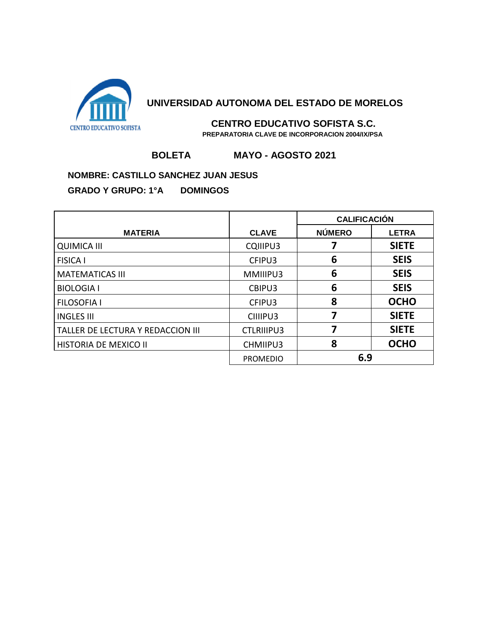

# **CENTRO EDUCATIVO SOFISTA S.C.**

 **PREPARATORIA CLAVE DE INCORPORACION 2004/IX/PSA**

# **BOLETA MAYO - AGOSTO 2021**

#### **NOMBRE: CASTILLO SANCHEZ JUAN JESUS**

|                                   |                   | <b>CALIFICACIÓN</b> |              |
|-----------------------------------|-------------------|---------------------|--------------|
| <b>MATERIA</b>                    | <b>CLAVE</b>      | <b>NÚMERO</b>       | <b>LETRA</b> |
| <b>QUIMICA III</b>                | CQIIIPU3          |                     | <b>SIETE</b> |
| <b>FISICA I</b>                   | CFIPU3            | 6                   | <b>SEIS</b>  |
| <b>MATEMATICAS III</b>            | MMIIIPU3          | 6                   | <b>SEIS</b>  |
| <b>BIOLOGIA I</b>                 | CBIPU3            | 6                   | <b>SEIS</b>  |
| <b>FILOSOFIA I</b>                | CFIPU3            | 8                   | <b>OCHO</b>  |
| <b>INGLES III</b>                 | CIIIPU3           |                     | <b>SIETE</b> |
| TALLER DE LECTURA Y REDACCION III | <b>CTLRIIIPU3</b> |                     | <b>SIETE</b> |
| HISTORIA DE MEXICO II             | CHMIIPU3          | 8                   | <b>OCHO</b>  |
|                                   | <b>PROMEDIO</b>   | 6.9                 |              |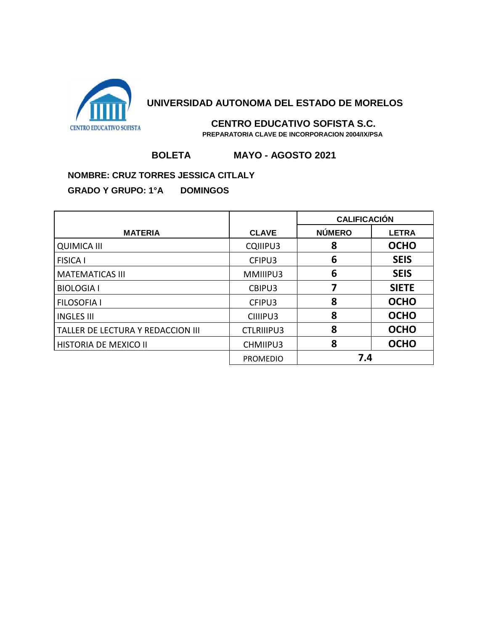

#### **CENTRO EDUCATIVO SOFISTA S.C. PREPARATORIA CLAVE DE INCORPORACION 2004/IX/PSA**

# **BOLETA MAYO - AGOSTO 2021**

## **NOMBRE: CRUZ TORRES JESSICA CITLALY**

|                                   |                   | <b>CALIFICACIÓN</b> |              |
|-----------------------------------|-------------------|---------------------|--------------|
| <b>MATERIA</b>                    | <b>CLAVE</b>      | <b>NÚMERO</b>       | <b>LETRA</b> |
| <b>QUIMICA III</b>                | CQIIIPU3          | 8                   | <b>OCHO</b>  |
| <b>FISICA I</b>                   | CFIPU3            | 6                   | <b>SEIS</b>  |
| <b>MATEMATICAS III</b>            | MMIIIPU3          | 6                   | <b>SEIS</b>  |
| <b>BIOLOGIA I</b>                 | CBIPU3            | 7                   | <b>SIETE</b> |
| <b>FILOSOFIA I</b>                | CFIPU3            | 8                   | <b>OCHO</b>  |
| <b>INGLES III</b>                 | CIIIPU3           | 8                   | <b>OCHO</b>  |
| TALLER DE LECTURA Y REDACCION III | <b>CTLRIIIPU3</b> | 8                   | <b>OCHO</b>  |
| HISTORIA DE MEXICO II             | CHMIIPU3          | 8                   | <b>OCHO</b>  |
|                                   | <b>PROMEDIO</b>   | 7.4                 |              |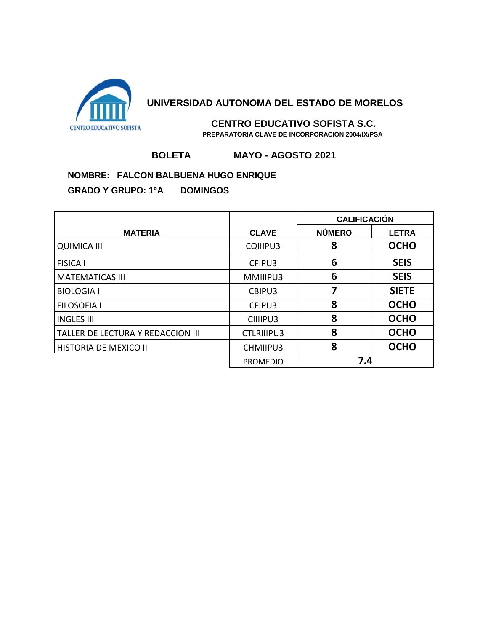

# **CENTRO EDUCATIVO SOFISTA S.C.**

 **PREPARATORIA CLAVE DE INCORPORACION 2004/IX/PSA**

# **BOLETA MAYO - AGOSTO 2021**

### **NOMBRE: FALCON BALBUENA HUGO ENRIQUE**

|                                   |                   | <b>CALIFICACIÓN</b> |              |
|-----------------------------------|-------------------|---------------------|--------------|
| <b>MATERIA</b>                    | <b>CLAVE</b>      | <b>NÚMERO</b>       | <b>LETRA</b> |
| <b>QUIMICA III</b>                | CQIIIPU3          | 8                   | <b>OCHO</b>  |
| <b>FISICA I</b>                   | CFIPU3            | 6                   | <b>SEIS</b>  |
| <b>MATEMATICAS III</b>            | MMIIIPU3          | 6                   | <b>SEIS</b>  |
| <b>BIOLOGIA I</b>                 | CBIPU3            |                     | <b>SIETE</b> |
| <b>FILOSOFIA I</b>                | CFIPU3            | 8                   | <b>OCHO</b>  |
| <b>INGLES III</b>                 | CIIIPU3           | 8                   | <b>OCHO</b>  |
| TALLER DE LECTURA Y REDACCION III | <b>CTLRIIIPU3</b> | 8                   | <b>OCHO</b>  |
| HISTORIA DE MEXICO II             | CHMIIPU3          | 8                   | <b>OCHO</b>  |
|                                   | <b>PROMEDIO</b>   | 7.4                 |              |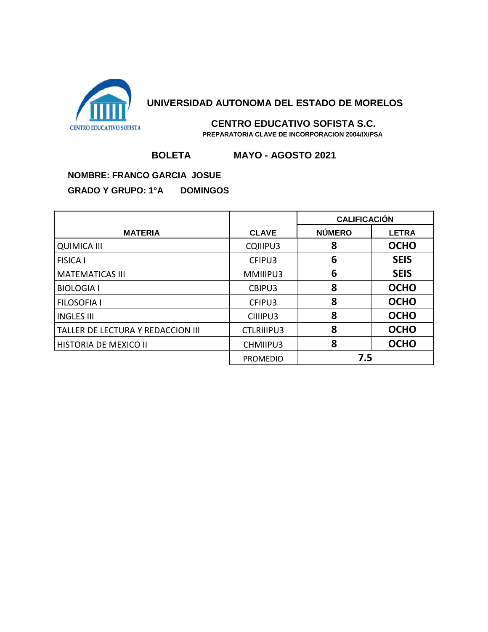

# **CENTRO EDUCATIVO SOFISTA S.C.**

 **PREPARATORIA CLAVE DE INCORPORACION 2004/IX/PSA**

## **BOLETA MAYO - AGOSTO 2021**

### **NOMBRE: FRANCO GARCIA JOSUE**

|                                   |                   | <b>CALIFICACIÓN</b> |              |
|-----------------------------------|-------------------|---------------------|--------------|
| <b>MATERIA</b>                    | <b>CLAVE</b>      | <b>NÚMERO</b>       | <b>LETRA</b> |
| <b>QUIMICA III</b>                | CQIIIPU3          | 8                   | <b>OCHO</b>  |
| <b>FISICA I</b>                   | CFIPU3            | 6                   | <b>SEIS</b>  |
| <b>MATEMATICAS III</b>            | MMIIIPU3          | 6                   | <b>SEIS</b>  |
| <b>BIOLOGIA I</b>                 | CBIPU3            | 8                   | <b>OCHO</b>  |
| <b>FILOSOFIA I</b>                | CFIPU3            | 8                   | <b>OCHO</b>  |
| <b>INGLES III</b>                 | CIIIPU3           | 8                   | <b>OCHO</b>  |
| TALLER DE LECTURA Y REDACCION III | <b>CTLRIIIPU3</b> | 8                   | <b>OCHO</b>  |
| HISTORIA DE MEXICO II             | CHMIIPU3          | 8                   | <b>OCHO</b>  |
|                                   | <b>PROMEDIO</b>   | 7.5                 |              |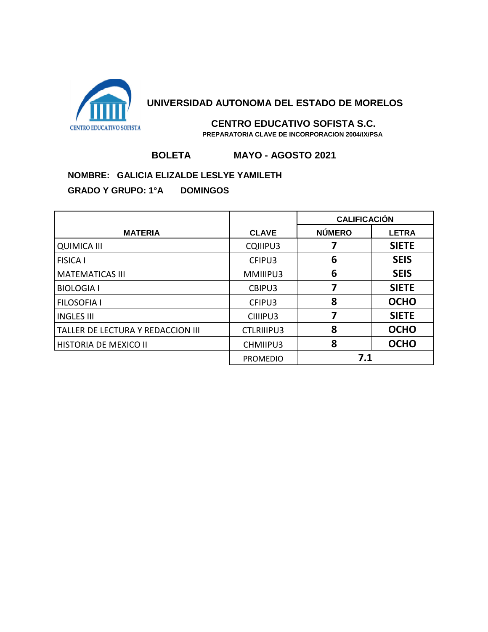

# **CENTRO EDUCATIVO SOFISTA S.C.**

 **PREPARATORIA CLAVE DE INCORPORACION 2004/IX/PSA**

# **BOLETA MAYO - AGOSTO 2021**

## **NOMBRE: GALICIA ELIZALDE LESLYE YAMILETH**

|                                   |                   | <b>CALIFICACIÓN</b> |              |
|-----------------------------------|-------------------|---------------------|--------------|
| <b>MATERIA</b>                    | <b>CLAVE</b>      | <b>NÚMERO</b>       | <b>LETRA</b> |
| <b>QUIMICA III</b>                | CQIIIPU3          |                     | <b>SIETE</b> |
| <b>FISICA I</b>                   | CFIPU3            | 6                   | <b>SEIS</b>  |
| <b>MATEMATICAS III</b>            | MMIIIPU3          | 6                   | <b>SEIS</b>  |
| <b>BIOLOGIA I</b>                 | CBIPU3            |                     | <b>SIETE</b> |
| <b>FILOSOFIA I</b>                | CFIPU3            | 8                   | <b>OCHO</b>  |
| <b>INGLES III</b>                 | CIIIPU3           |                     | <b>SIETE</b> |
| TALLER DE LECTURA Y REDACCION III | <b>CTLRIIIPU3</b> | 8                   | <b>OCHO</b>  |
| HISTORIA DE MEXICO II             | CHMIIPU3          | 8                   | <b>OCHO</b>  |
|                                   | <b>PROMEDIO</b>   | 7.1                 |              |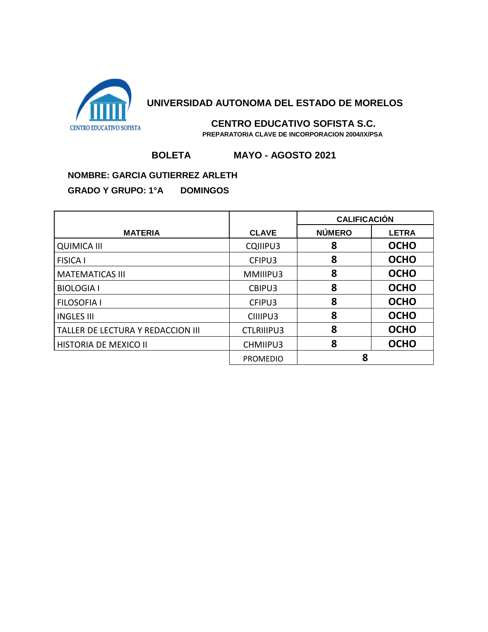

# **CENTRO EDUCATIVO SOFISTA S.C.**

 **PREPARATORIA CLAVE DE INCORPORACION 2004/IX/PSA**

# **BOLETA MAYO - AGOSTO 2021**

#### **NOMBRE: GARCIA GUTIERREZ ARLETH**

|                                   |                   | <b>CALIFICACIÓN</b> |              |
|-----------------------------------|-------------------|---------------------|--------------|
| <b>MATERIA</b>                    | <b>CLAVE</b>      | <b>NÚMERO</b>       | <b>LETRA</b> |
| <b>QUIMICA III</b>                | CQIIIPU3          | 8                   | <b>OCHO</b>  |
| <b>FISICA I</b>                   | CFIPU3            | 8                   | <b>OCHO</b>  |
| <b>MATEMATICAS III</b>            | MMIIIPU3          | 8                   | <b>OCHO</b>  |
| <b>BIOLOGIA I</b>                 | CBIPU3            | 8                   | <b>OCHO</b>  |
| <b>FILOSOFIA I</b>                | CFIPU3            | 8                   | <b>OCHO</b>  |
| <b>INGLES III</b>                 | CIIIPU3           | 8                   | <b>OCHO</b>  |
| TALLER DE LECTURA Y REDACCION III | <b>CTLRIIIPU3</b> | 8                   | <b>OCHO</b>  |
| HISTORIA DE MEXICO II             | CHMIIPU3          | 8                   | <b>OCHO</b>  |
|                                   | <b>PROMEDIO</b>   | 8                   |              |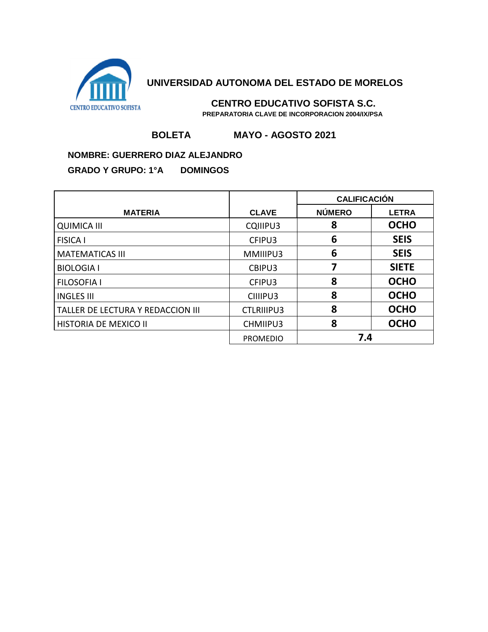

 **CENTRO EDUCATIVO SOFISTA S.C. PREPARATORIA CLAVE DE INCORPORACION 2004/IX/PSA**

# **BOLETA MAYO - AGOSTO 2021**

#### **NOMBRE: GUERRERO DIAZ ALEJANDRO**

|                                   |                   | <b>CALIFICACIÓN</b> |              |
|-----------------------------------|-------------------|---------------------|--------------|
| <b>MATERIA</b>                    | <b>CLAVE</b>      | <b>NÚMERO</b>       | <b>LETRA</b> |
| <b>QUIMICA III</b>                | CQIIIPU3          | 8                   | <b>OCHO</b>  |
| <b>FISICA I</b>                   | CFIPU3            | 6                   | <b>SEIS</b>  |
| <b>MATEMATICAS III</b>            | MMIIIPU3          | 6                   | <b>SEIS</b>  |
| <b>BIOLOGIA I</b>                 | CBIPU3            |                     | <b>SIETE</b> |
| <b>FILOSOFIA I</b>                | CFIPU3            | 8                   | <b>OCHO</b>  |
| <b>INGLES III</b>                 | CIIIPU3           | 8                   | <b>OCHO</b>  |
| TALLER DE LECTURA Y REDACCION III | <b>CTLRIIIPU3</b> | 8                   | <b>OCHO</b>  |
| HISTORIA DE MEXICO II             | CHMIIPU3          | 8                   | <b>OCHO</b>  |
|                                   | <b>PROMEDIO</b>   | 7.4                 |              |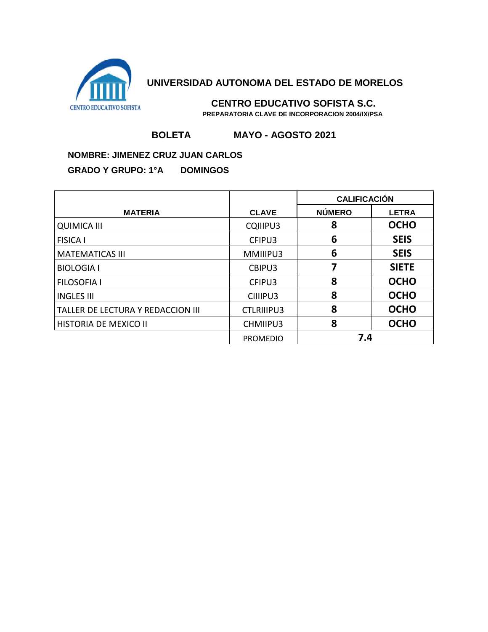

 **CENTRO EDUCATIVO SOFISTA S.C. PREPARATORIA CLAVE DE INCORPORACION 2004/IX/PSA**

## **BOLETA MAYO - AGOSTO 2021**

### **NOMBRE: JIMENEZ CRUZ JUAN CARLOS**

|                                          |                   | <b>CALIFICACIÓN</b> |              |
|------------------------------------------|-------------------|---------------------|--------------|
| <b>MATERIA</b>                           | <b>CLAVE</b>      | <b>NÚMERO</b>       | <b>LETRA</b> |
| <b>QUIMICA III</b>                       | CQIIIPU3          | 8                   | <b>OCHO</b>  |
| <b>FISICA I</b>                          | CFIPU3            | 6                   | <b>SEIS</b>  |
| <b>MATEMATICAS III</b>                   | MMIIIPU3          | 6                   | <b>SEIS</b>  |
| <b>BIOLOGIA I</b>                        | CBIPU3            |                     | <b>SIETE</b> |
| <b>FILOSOFIA I</b>                       | CFIPU3            | 8                   | <b>OCHO</b>  |
| <b>INGLES III</b>                        | CIIIPU3           | 8                   | <b>OCHO</b>  |
| <b>TALLER DE LECTURA Y REDACCION III</b> | <b>CTLRIIIPU3</b> | 8                   | <b>OCHO</b>  |
| HISTORIA DE MEXICO II                    | CHMIIPU3          | 8                   | <b>OCHO</b>  |
|                                          | <b>PROMEDIO</b>   | 7.4                 |              |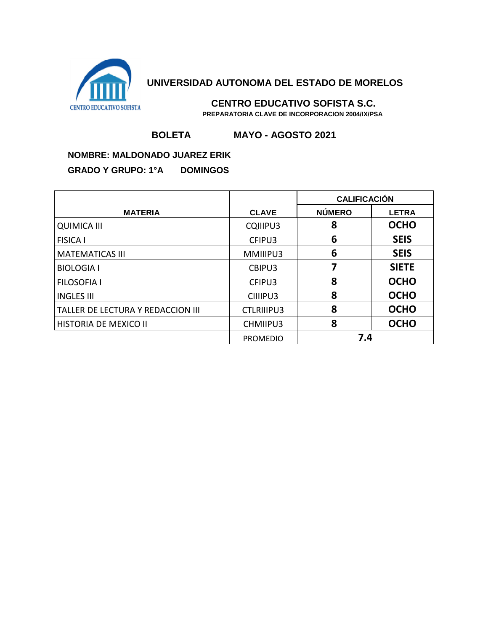

 **CENTRO EDUCATIVO SOFISTA S.C. PREPARATORIA CLAVE DE INCORPORACION 2004/IX/PSA**

# **BOLETA MAYO - AGOSTO 2021**

#### **NOMBRE: MALDONADO JUAREZ ERIK**

|                                   |                   | <b>CALIFICACIÓN</b> |              |
|-----------------------------------|-------------------|---------------------|--------------|
| <b>MATERIA</b>                    | <b>CLAVE</b>      | <b>NÚMERO</b>       | <b>LETRA</b> |
| <b>QUIMICA III</b>                | CQIIIPU3          | 8                   | <b>OCHO</b>  |
| <b>FISICA I</b>                   | CFIPU3            | 6                   | <b>SEIS</b>  |
| <b>MATEMATICAS III</b>            | MMIIIPU3          | 6                   | <b>SEIS</b>  |
| <b>BIOLOGIA I</b>                 | CBIPU3            |                     | <b>SIETE</b> |
| <b>FILOSOFIA I</b>                | CFIPU3            | 8                   | <b>OCHO</b>  |
| <b>INGLES III</b>                 | CIIIPU3           | 8                   | <b>OCHO</b>  |
| TALLER DE LECTURA Y REDACCION III | <b>CTLRIIIPU3</b> | 8                   | <b>OCHO</b>  |
| HISTORIA DE MEXICO II             | CHMIIPU3          | 8                   | <b>OCHO</b>  |
|                                   | <b>PROMEDIO</b>   | 7.4                 |              |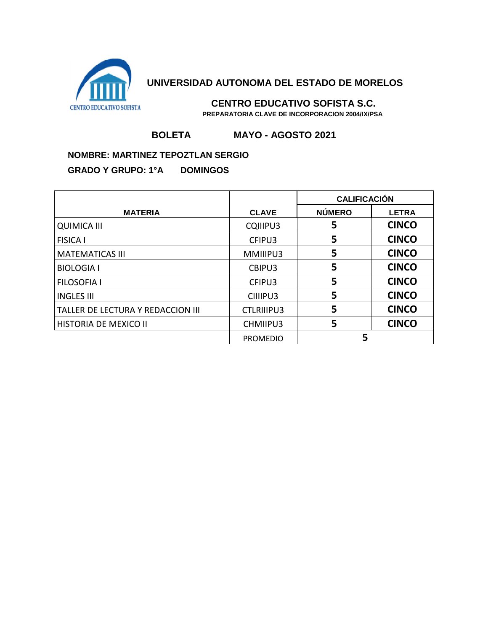

 **CENTRO EDUCATIVO SOFISTA S.C. PREPARATORIA CLAVE DE INCORPORACION 2004/IX/PSA**

# **BOLETA MAYO - AGOSTO 2021**

## **NOMBRE: MARTINEZ TEPOZTLAN SERGIO**

|                                   |                   | <b>CALIFICACIÓN</b> |              |
|-----------------------------------|-------------------|---------------------|--------------|
| <b>MATERIA</b>                    | <b>CLAVE</b>      | <b>NÚMERO</b>       | <b>LETRA</b> |
| <b>QUIMICA III</b>                | CQIIIPU3          | 5                   | <b>CINCO</b> |
| <b>FISICA I</b>                   | CFIPU3            | 5                   | <b>CINCO</b> |
| <b>MATEMATICAS III</b>            | MMIIIPU3          | 5                   | <b>CINCO</b> |
| <b>BIOLOGIA I</b>                 | CBIPU3            | 5                   | <b>CINCO</b> |
| <b>FILOSOFIA I</b>                | CFIPU3            | 5                   | <b>CINCO</b> |
| <b>INGLES III</b>                 | CIIIPU3           | 5                   | <b>CINCO</b> |
| TALLER DE LECTURA Y REDACCION III | <b>CTLRIIIPU3</b> | 5                   | <b>CINCO</b> |
| <b>HISTORIA DE MEXICO II</b>      | CHMIIPU3          | 5                   | <b>CINCO</b> |
|                                   | <b>PROMEDIO</b>   |                     |              |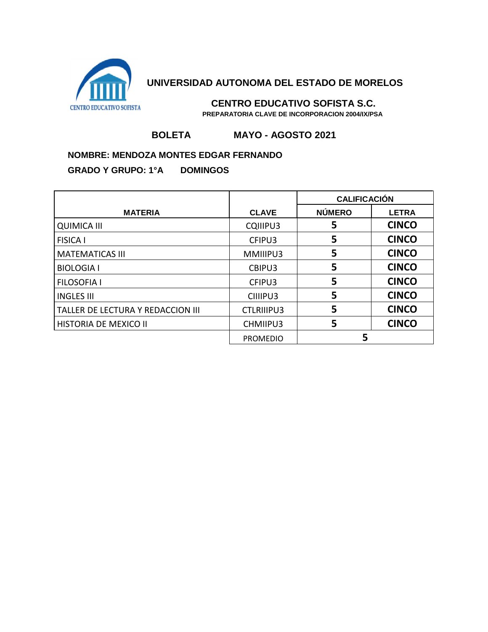

 **CENTRO EDUCATIVO SOFISTA S.C. PREPARATORIA CLAVE DE INCORPORACION 2004/IX/PSA**

# **BOLETA MAYO - AGOSTO 2021**

## **NOMBRE: MENDOZA MONTES EDGAR FERNANDO**

|                                   |                   | <b>CALIFICACIÓN</b> |              |
|-----------------------------------|-------------------|---------------------|--------------|
| <b>MATERIA</b>                    | <b>CLAVE</b>      | <b>NÚMERO</b>       | <b>LETRA</b> |
| <b>QUIMICA III</b>                | CQIIIPU3          | 5                   | <b>CINCO</b> |
| <b>FISICA I</b>                   | CFIPU3            | 5                   | <b>CINCO</b> |
| <b>MATEMATICAS III</b>            | MMIIIPU3          | 5                   | <b>CINCO</b> |
| <b>BIOLOGIA I</b>                 | CBIPU3            | 5                   | <b>CINCO</b> |
| <b>FILOSOFIA I</b>                | CFIPU3            | 5                   | <b>CINCO</b> |
| <b>INGLES III</b>                 | CIIIPU3           | 5                   | <b>CINCO</b> |
| TALLER DE LECTURA Y REDACCION III | <b>CTLRIIIPU3</b> | 5                   | <b>CINCO</b> |
| HISTORIA DE MEXICO II             | CHMIIPU3          | 5                   | <b>CINCO</b> |
|                                   | <b>PROMEDIO</b>   |                     |              |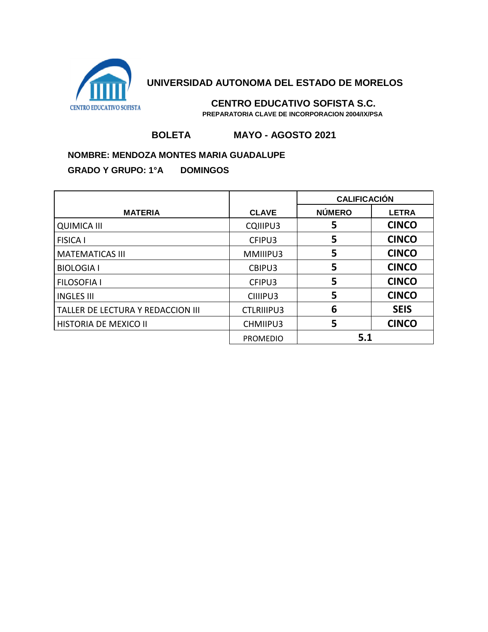

 **CENTRO EDUCATIVO SOFISTA S.C. PREPARATORIA CLAVE DE INCORPORACION 2004/IX/PSA**

## **BOLETA MAYO - AGOSTO 2021**

## **NOMBRE: MENDOZA MONTES MARIA GUADALUPE**

|                                          |                   | <b>CALIFICACIÓN</b> |              |
|------------------------------------------|-------------------|---------------------|--------------|
| <b>MATERIA</b>                           | <b>CLAVE</b>      | <b>NÚMERO</b>       | <b>LETRA</b> |
| <b>QUIMICA III</b>                       | CQIIIPU3          | 5                   | <b>CINCO</b> |
| <b>FISICA I</b>                          | CFIPU3            | 5                   | <b>CINCO</b> |
| <b>MATEMATICAS III</b>                   | MMIIIPU3          | 5                   | <b>CINCO</b> |
| <b>BIOLOGIA I</b>                        | CBIPU3            | 5                   | <b>CINCO</b> |
| <b>FILOSOFIA I</b>                       | CFIPU3            | 5                   | <b>CINCO</b> |
| <b>INGLES III</b>                        | CIIIPU3           | 5                   | <b>CINCO</b> |
| <b>TALLER DE LECTURA Y REDACCION III</b> | <b>CTLRIIIPU3</b> | 6                   | <b>SEIS</b>  |
| HISTORIA DE MEXICO II                    | CHMIIPU3          | 5                   | <b>CINCO</b> |
|                                          | <b>PROMEDIO</b>   | 5.1                 |              |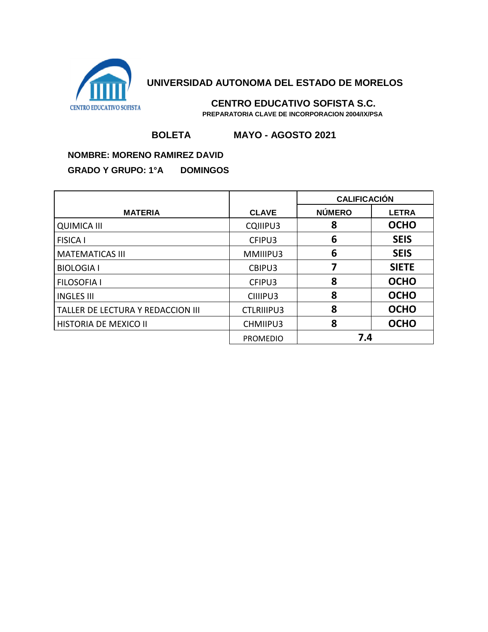

 **CENTRO EDUCATIVO SOFISTA S.C. PREPARATORIA CLAVE DE INCORPORACION 2004/IX/PSA**

# **BOLETA MAYO - AGOSTO 2021**

#### **NOMBRE: MORENO RAMIREZ DAVID**

|                                   |                   | <b>CALIFICACIÓN</b> |              |
|-----------------------------------|-------------------|---------------------|--------------|
| <b>MATERIA</b>                    | <b>CLAVE</b>      | <b>NÚMERO</b>       | <b>LETRA</b> |
| <b>QUIMICA III</b>                | CQIIIPU3          | 8                   | <b>OCHO</b>  |
| <b>FISICA I</b>                   | CFIPU3            | 6                   | <b>SEIS</b>  |
| <b>MATEMATICAS III</b>            | MMIIIPU3          | 6                   | <b>SEIS</b>  |
| <b>BIOLOGIA I</b>                 | CBIPU3            |                     | <b>SIETE</b> |
| <b>FILOSOFIA I</b>                | CFIPU3            | 8                   | <b>OCHO</b>  |
| <b>LINGLES III</b>                | CIIIPU3           | 8                   | <b>OCHO</b>  |
| TALLER DE LECTURA Y REDACCION III | <b>CTLRIIIPU3</b> | 8                   | <b>OCHO</b>  |
| HISTORIA DE MEXICO II             | CHMIIPU3          | 8                   | <b>OCHO</b>  |
|                                   | <b>PROMEDIO</b>   | 7.4                 |              |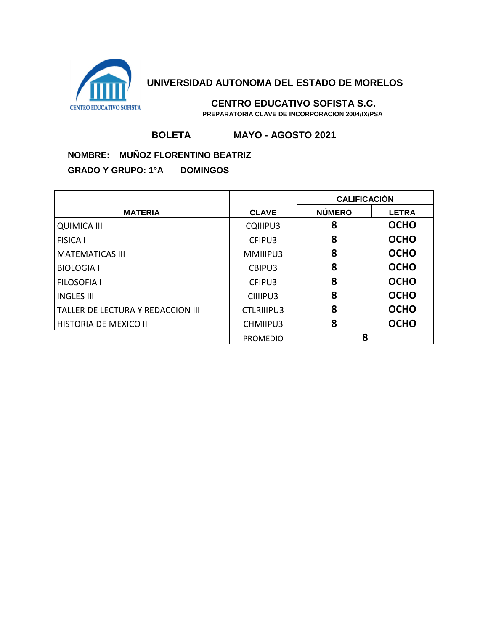

 **CENTRO EDUCATIVO SOFISTA S.C. PREPARATORIA CLAVE DE INCORPORACION 2004/IX/PSA**

# **BOLETA MAYO - AGOSTO 2021**

## **NOMBRE: MUÑOZ FLORENTINO BEATRIZ**

|                                   |                   | <b>CALIFICACIÓN</b> |              |
|-----------------------------------|-------------------|---------------------|--------------|
| <b>MATERIA</b>                    | <b>CLAVE</b>      | <b>NÚMERO</b>       | <b>LETRA</b> |
| <b>QUIMICA III</b>                | CQIIIPU3          | 8                   | <b>OCHO</b>  |
| <b>FISICA I</b>                   | CFIPU3            | 8                   | <b>OCHO</b>  |
| <b>MATEMATICAS III</b>            | MMIIIPU3          | 8                   | <b>OCHO</b>  |
| <b>BIOLOGIA I</b>                 | CBIPU3            | 8                   | <b>OCHO</b>  |
| <b>FILOSOFIA I</b>                | CFIPU3            | 8                   | <b>OCHO</b>  |
| <b>INGLES III</b>                 | CIIIPU3           | 8                   | <b>OCHO</b>  |
| TALLER DE LECTURA Y REDACCION III | <b>CTLRIIIPU3</b> | 8                   | <b>OCHO</b>  |
| <b>HISTORIA DE MEXICO II</b>      | CHMIIPU3          | 8                   | <b>OCHO</b>  |
|                                   | <b>PROMEDIO</b>   |                     |              |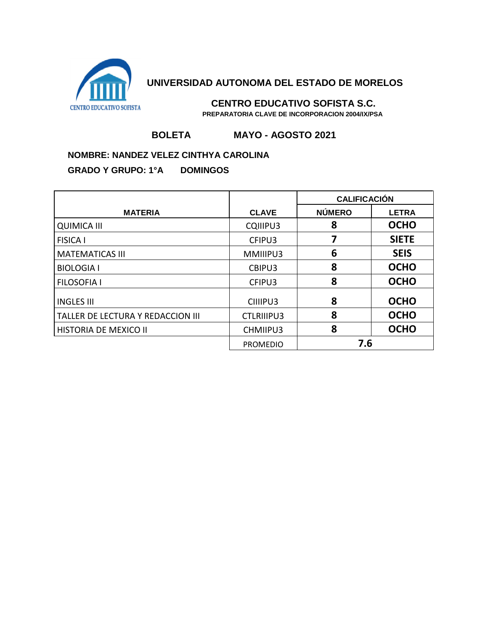

 **CENTRO EDUCATIVO SOFISTA S.C. PREPARATORIA CLAVE DE INCORPORACION 2004/IX/PSA**

## **BOLETA MAYO - AGOSTO 2021**

## **NOMBRE: NANDEZ VELEZ CINTHYA CAROLINA**

|                                   |                   | <b>CALIFICACIÓN</b> |              |
|-----------------------------------|-------------------|---------------------|--------------|
| <b>MATERIA</b>                    | <b>CLAVE</b>      | <b>NÚMERO</b>       | <b>LETRA</b> |
| <b>QUIMICA III</b>                | CQIIIPU3          | 8                   | <b>OCHO</b>  |
| <b>FISICA I</b>                   | CFIPU3            |                     | <b>SIETE</b> |
| <b>MATEMATICAS III</b>            | MMIIIPU3          | 6                   | <b>SEIS</b>  |
| <b>BIOLOGIA I</b>                 | CBIPU3            | 8                   | <b>OCHO</b>  |
| <b>FILOSOFIA I</b>                | CFIPU3            | 8                   | <b>OCHO</b>  |
| <b>INGLES III</b>                 | CIIIPU3           | 8                   | <b>OCHO</b>  |
| TALLER DE LECTURA Y REDACCION III | <b>CTLRIIIPU3</b> | 8                   | <b>OCHO</b>  |
| HISTORIA DE MEXICO II             | CHMIIPU3          | 8                   | <b>OCHO</b>  |
|                                   | <b>PROMEDIO</b>   | 7.6                 |              |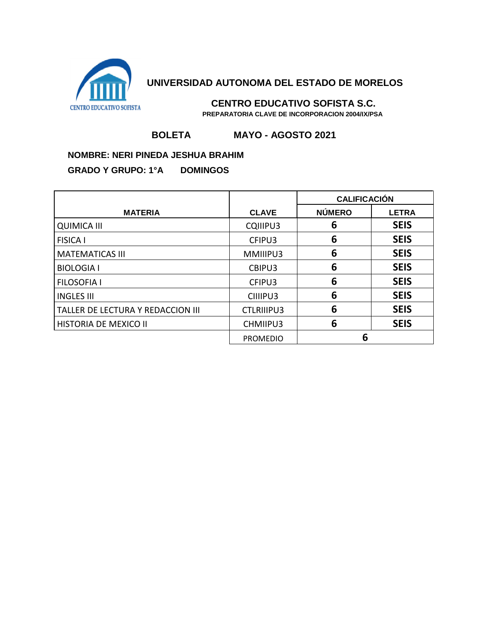

 **CENTRO EDUCATIVO SOFISTA S.C. PREPARATORIA CLAVE DE INCORPORACION 2004/IX/PSA**

# **BOLETA MAYO - AGOSTO 2021**

### **NOMBRE: NERI PINEDA JESHUA BRAHIM**

|                                   |                   | <b>CALIFICACIÓN</b> |              |
|-----------------------------------|-------------------|---------------------|--------------|
| <b>MATERIA</b>                    | <b>CLAVE</b>      | <b>NÚMERO</b>       | <b>LETRA</b> |
| <b>QUIMICA III</b>                | CQIIIPU3          | 6                   | <b>SEIS</b>  |
| <b>FISICA I</b>                   | CFIPU3            | 6                   | <b>SEIS</b>  |
| <b>MATEMATICAS III</b>            | MMIIIPU3          | 6                   | <b>SEIS</b>  |
| <b>BIOLOGIA I</b>                 | CBIPU3            | 6                   | <b>SEIS</b>  |
| <b>FILOSOFIA I</b>                | CFIPU3            | 6                   | <b>SEIS</b>  |
| <b>INGLES III</b>                 | CIIIPU3           | 6                   | <b>SEIS</b>  |
| TALLER DE LECTURA Y REDACCION III | <b>CTLRIIIPU3</b> | 6                   | <b>SEIS</b>  |
| HISTORIA DE MEXICO II             | CHMIIPU3          | 6                   | <b>SEIS</b>  |
|                                   | <b>PROMEDIO</b>   | 6                   |              |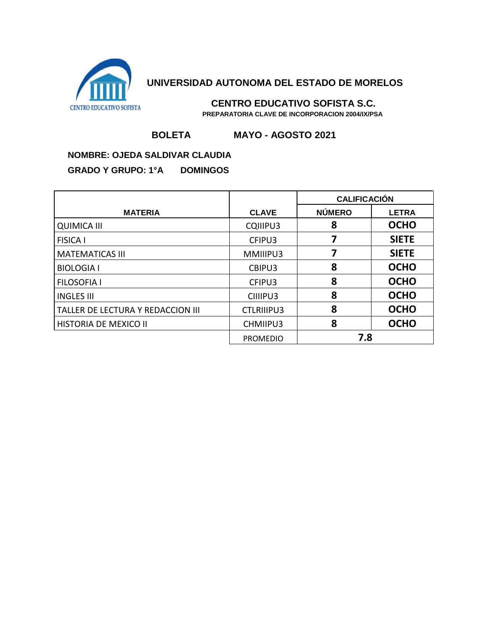

 **CENTRO EDUCATIVO SOFISTA S.C. PREPARATORIA CLAVE DE INCORPORACION 2004/IX/PSA**

# **BOLETA MAYO - AGOSTO 2021**

#### **NOMBRE: OJEDA SALDIVAR CLAUDIA**

|                                   |                   | <b>CALIFICACIÓN</b> |              |
|-----------------------------------|-------------------|---------------------|--------------|
| <b>MATERIA</b>                    | <b>CLAVE</b>      | <b>NÚMERO</b>       | <b>LETRA</b> |
| <b>QUIMICA III</b>                | CQIIIPU3          | 8                   | <b>OCHO</b>  |
| <b>FISICA I</b>                   | CFIPU3            |                     | <b>SIETE</b> |
| <b>MATEMATICAS III</b>            | MMIIIPU3          |                     | <b>SIETE</b> |
| <b>BIOLOGIA I</b>                 | CBIPU3            | 8                   | <b>OCHO</b>  |
| <b>FILOSOFIA I</b>                | CFIPU3            | 8                   | <b>OCHO</b>  |
| <b>INGLES III</b>                 | CIIIPU3           | 8                   | <b>OCHO</b>  |
| TALLER DE LECTURA Y REDACCION III | <b>CTLRIIIPU3</b> | 8                   | <b>OCHO</b>  |
| HISTORIA DE MEXICO II             | CHMIIPU3          | 8                   | <b>OCHO</b>  |
|                                   | <b>PROMEDIO</b>   | 7.8                 |              |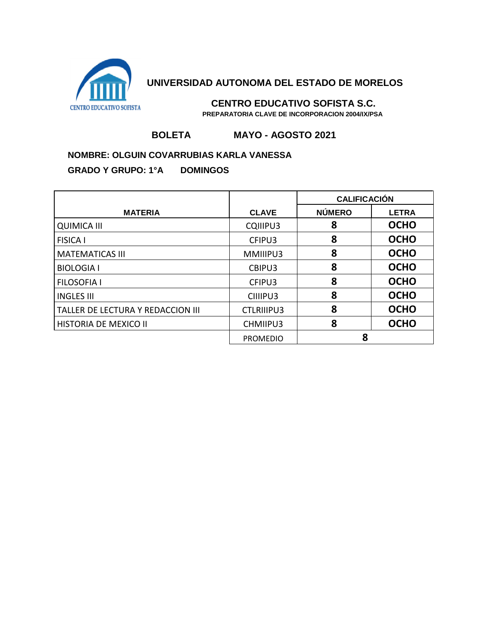

 **CENTRO EDUCATIVO SOFISTA S.C. PREPARATORIA CLAVE DE INCORPORACION 2004/IX/PSA**

## **BOLETA MAYO - AGOSTO 2021**

#### **NOMBRE: OLGUIN COVARRUBIAS KARLA VANESSA**

|                                   |                   | <b>CALIFICACIÓN</b> |              |
|-----------------------------------|-------------------|---------------------|--------------|
| <b>MATERIA</b>                    | <b>CLAVE</b>      | <b>NÚMERO</b>       | <b>LETRA</b> |
| <b>QUIMICA III</b>                | CQIIIPU3          | 8                   | <b>OCHO</b>  |
| <b>FISICA I</b>                   | CFIPU3            | 8                   | <b>OCHO</b>  |
| <b>MATEMATICAS III</b>            | MMIIIPU3          | 8                   | <b>OCHO</b>  |
| <b>BIOLOGIA I</b>                 | CBIPU3            | 8                   | <b>OCHO</b>  |
| <b>FILOSOFIA I</b>                | CFIPU3            | 8                   | <b>OCHO</b>  |
| <b>INGLES III</b>                 | CIIIPU3           | 8                   | <b>OCHO</b>  |
| TALLER DE LECTURA Y REDACCION III | <b>CTLRIIIPU3</b> | 8                   | <b>OCHO</b>  |
| <b>HISTORIA DE MEXICO II</b>      | CHMIIPU3          | 8                   | <b>OCHO</b>  |
|                                   | <b>PROMEDIO</b>   | 8                   |              |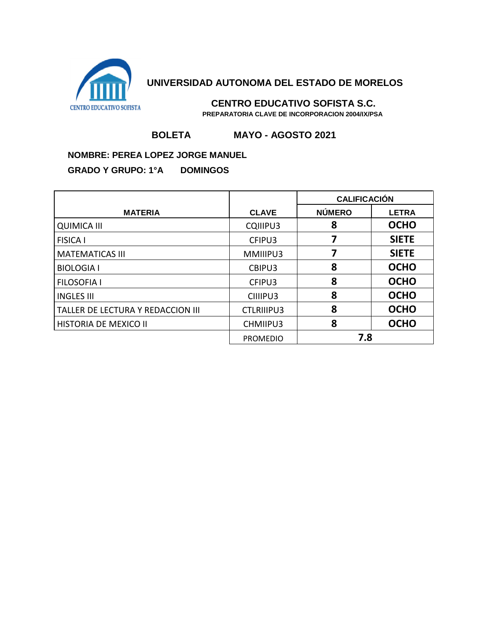

 **CENTRO EDUCATIVO SOFISTA S.C. PREPARATORIA CLAVE DE INCORPORACION 2004/IX/PSA**

## **BOLETA MAYO - AGOSTO 2021**

### **NOMBRE: PEREA LOPEZ JORGE MANUEL**

|                                          |                   | <b>CALIFICACIÓN</b> |              |
|------------------------------------------|-------------------|---------------------|--------------|
| <b>MATERIA</b>                           | <b>CLAVE</b>      | <b>NÚMERO</b>       | <b>LETRA</b> |
| <b>QUIMICA III</b>                       | CQIIIPU3          | 8                   | <b>OCHO</b>  |
| <b>FISICA I</b>                          | CFIPU3            |                     | <b>SIETE</b> |
| <b>MATEMATICAS III</b>                   | MMIIIPU3          |                     | <b>SIETE</b> |
| <b>BIOLOGIA I</b>                        | CBIPU3            | 8                   | <b>OCHO</b>  |
| l filosofia i                            | CFIPU3            | 8                   | <b>OCHO</b>  |
| <b>INGLES III</b>                        | CIIIPU3           | 8                   | <b>OCHO</b>  |
| <b>TALLER DE LECTURA Y REDACCION III</b> | <b>CTLRIIIPU3</b> | 8                   | <b>OCHO</b>  |
| HISTORIA DE MEXICO II                    | CHMIIPU3          | 8                   | <b>OCHO</b>  |
|                                          | <b>PROMEDIO</b>   | 7.8                 |              |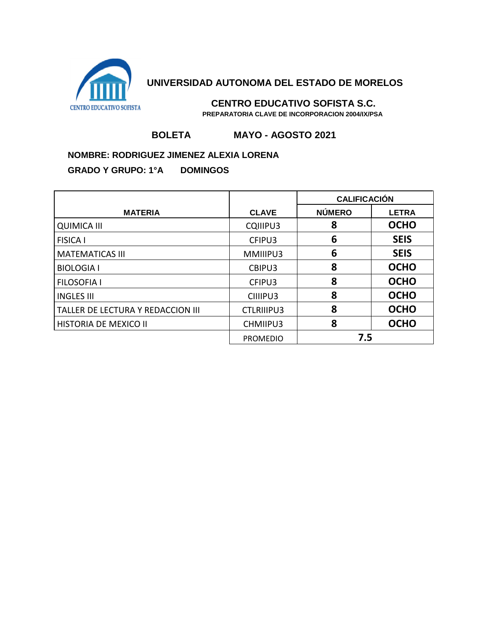

 **CENTRO EDUCATIVO SOFISTA S.C. PREPARATORIA CLAVE DE INCORPORACION 2004/IX/PSA**

# **BOLETA MAYO - AGOSTO 2021**

## **NOMBRE: RODRIGUEZ JIMENEZ ALEXIA LORENA**

|                                   |                   | <b>CALIFICACIÓN</b> |              |
|-----------------------------------|-------------------|---------------------|--------------|
| <b>MATERIA</b>                    | <b>CLAVE</b>      | <b>NÚMERO</b>       | <b>LETRA</b> |
| <b>QUIMICA III</b>                | CQIIIPU3          | 8                   | <b>OCHO</b>  |
| <b>FISICA I</b>                   | CFIPU3            | 6                   | <b>SEIS</b>  |
| <b>MATEMATICAS III</b>            | MMIIIPU3          | 6                   | <b>SEIS</b>  |
| <b>BIOLOGIA I</b>                 | CBIPU3            | 8                   | <b>OCHO</b>  |
| <b>FILOSOFIA I</b>                | CFIPU3            | 8                   | <b>OCHO</b>  |
| <b>INGLES III</b>                 | CIIIPU3           | 8                   | <b>OCHO</b>  |
| TALLER DE LECTURA Y REDACCION III | <b>CTLRIIIPU3</b> | 8                   | <b>OCHO</b>  |
| HISTORIA DE MEXICO II             | CHMIIPU3          | 8                   | <b>OCHO</b>  |
|                                   | <b>PROMEDIO</b>   | 7.5                 |              |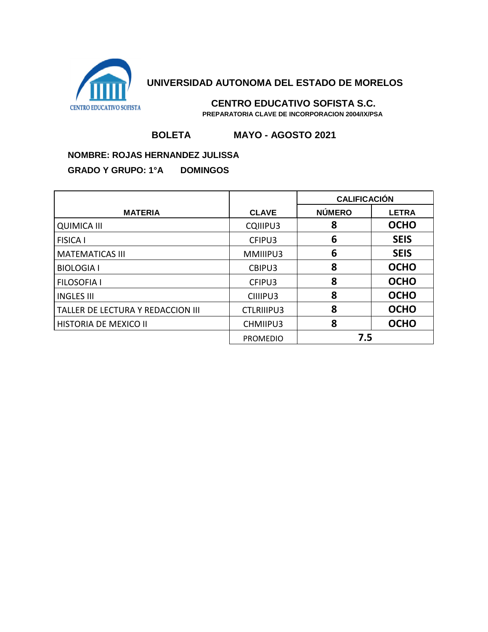

 **CENTRO EDUCATIVO SOFISTA S.C. PREPARATORIA CLAVE DE INCORPORACION 2004/IX/PSA**

# **BOLETA MAYO - AGOSTO 2021**

### **NOMBRE: ROJAS HERNANDEZ JULISSA**

|                                   |                   | <b>CALIFICACIÓN</b> |              |
|-----------------------------------|-------------------|---------------------|--------------|
| <b>MATERIA</b>                    | <b>CLAVE</b>      | <b>NÚMERO</b>       | <b>LETRA</b> |
| <b>QUIMICA III</b>                | CQIIIPU3          | 8                   | <b>OCHO</b>  |
| <b>FISICA I</b>                   | CFIPU3            | 6                   | <b>SEIS</b>  |
| <b>MATEMATICAS III</b>            | MMIIIPU3          | 6                   | <b>SEIS</b>  |
| <b>BIOLOGIA I</b>                 | CBIPU3            | 8                   | <b>OCHO</b>  |
| <b>FILOSOFIA I</b>                | CFIPU3            | 8                   | <b>OCHO</b>  |
| <b>LINGLES III</b>                | CIIIPU3           | 8                   | <b>OCHO</b>  |
| TALLER DE LECTURA Y REDACCION III | <b>CTLRIIIPU3</b> | 8                   | <b>OCHO</b>  |
| HISTORIA DE MEXICO II             | CHMIIPU3          | 8                   | <b>OCHO</b>  |
|                                   | <b>PROMEDIO</b>   | 7.5                 |              |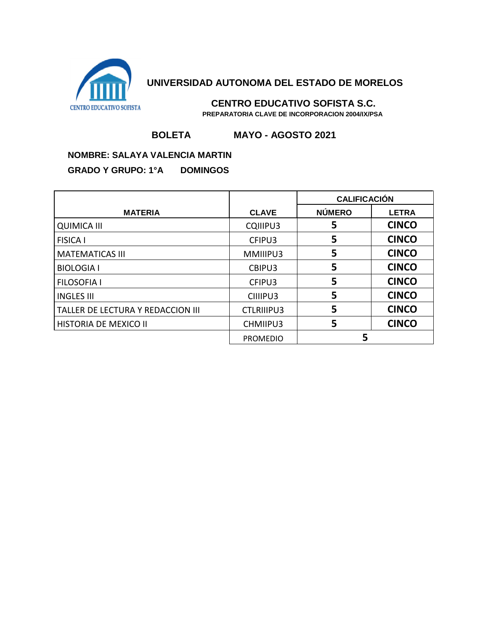

 **CENTRO EDUCATIVO SOFISTA S.C. PREPARATORIA CLAVE DE INCORPORACION 2004/IX/PSA**

# **BOLETA MAYO - AGOSTO 2021**

### **NOMBRE: SALAYA VALENCIA MARTIN**

|                                   |                   | <b>CALIFICACIÓN</b> |              |
|-----------------------------------|-------------------|---------------------|--------------|
| <b>MATERIA</b>                    | <b>CLAVE</b>      | <b>NÚMERO</b>       | <b>LETRA</b> |
| <b>QUIMICA III</b>                | CQIIIPU3          | 5                   | <b>CINCO</b> |
| <b>FISICA I</b>                   | CFIPU3            | 5                   | <b>CINCO</b> |
| <b>MATEMATICAS III</b>            | MMIIIPU3          | 5                   | <b>CINCO</b> |
| <b>BIOLOGIA I</b>                 | CBIPU3            | 5                   | <b>CINCO</b> |
| <b>FILOSOFIA I</b>                | CFIPU3            | 5                   | <b>CINCO</b> |
| <b>INGLES III</b>                 | CIIIPU3           | 5                   | <b>CINCO</b> |
| TALLER DE LECTURA Y REDACCION III | <b>CTLRIIIPU3</b> | 5                   | <b>CINCO</b> |
| <b>HISTORIA DE MEXICO II</b>      | CHMIIPU3          | 5                   | <b>CINCO</b> |
|                                   | <b>PROMEDIO</b>   |                     |              |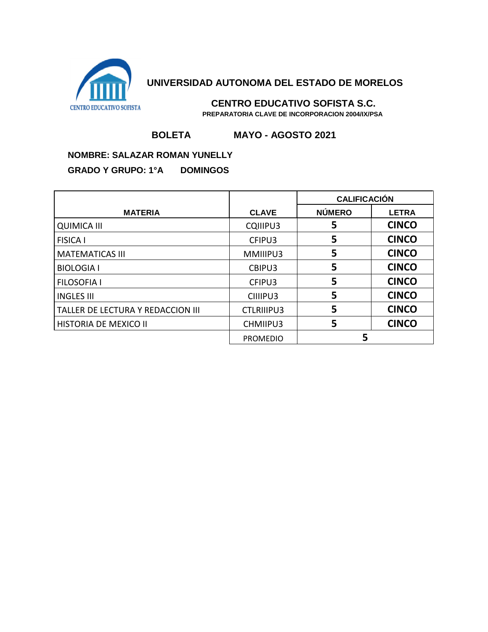

 **CENTRO EDUCATIVO SOFISTA S.C. PREPARATORIA CLAVE DE INCORPORACION 2004/IX/PSA**

# **BOLETA MAYO - AGOSTO 2021**

#### **NOMBRE: SALAZAR ROMAN YUNELLY**

|                                   |                   | <b>CALIFICACIÓN</b> |              |
|-----------------------------------|-------------------|---------------------|--------------|
| <b>MATERIA</b>                    | <b>CLAVE</b>      | <b>NÚMERO</b>       | <b>LETRA</b> |
| <b>QUIMICA III</b>                | CQIIIPU3          | 5                   | <b>CINCO</b> |
| <b>FISICA I</b>                   | CFIPU3            | 5                   | <b>CINCO</b> |
| <b>MATEMATICAS III</b>            | MMIIIPU3          | 5                   | <b>CINCO</b> |
| <b>BIOLOGIA I</b>                 | CBIPU3            | 5                   | <b>CINCO</b> |
| <b>FILOSOFIA I</b>                | CFIPU3            | 5                   | <b>CINCO</b> |
| <b>INGLES III</b>                 | CIIIPU3           | 5                   | <b>CINCO</b> |
| TALLER DE LECTURA Y REDACCION III | <b>CTLRIIIPU3</b> | 5                   | <b>CINCO</b> |
| HISTORIA DE MEXICO II             | CHMIIPU3          | 5                   | <b>CINCO</b> |
|                                   | <b>PROMEDIO</b>   |                     |              |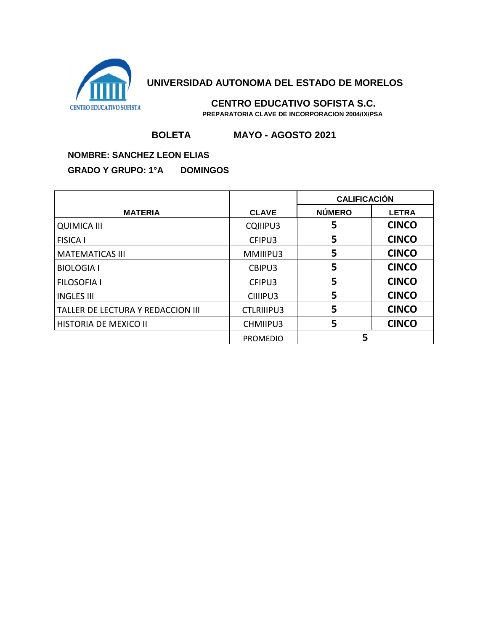

 **CENTRO EDUCATIVO SOFISTA S.C. PREPARATORIA CLAVE DE INCORPORACION 2004/IX/PSA**

# **BOLETA MAYO - AGOSTO 2021**

#### **NOMBRE: SANCHEZ LEON ELIAS**

|                                   |                   | <b>CALIFICACIÓN</b> |              |
|-----------------------------------|-------------------|---------------------|--------------|
| <b>MATERIA</b>                    | <b>CLAVE</b>      | <b>NÚMERO</b>       | <b>LETRA</b> |
| <b>QUIMICA III</b>                | CQIIIPU3          | 5                   | <b>CINCO</b> |
| <b>FISICA I</b>                   | CFIPU3            | 5                   | <b>CINCO</b> |
| <b>MATEMATICAS III</b>            | MMIIIPU3          | 5                   | <b>CINCO</b> |
| <b>BIOLOGIA I</b>                 | CBIPU3            | 5                   | <b>CINCO</b> |
| <b>FILOSOFIA I</b>                | CFIPU3            | 5                   | <b>CINCO</b> |
| <b>INGLES III</b>                 | CIIIPU3           | 5                   | <b>CINCO</b> |
| TALLER DE LECTURA Y REDACCION III | <b>CTLRIIIPU3</b> | 5                   | <b>CINCO</b> |
| HISTORIA DE MEXICO II             | CHMIIPU3          | 5                   | <b>CINCO</b> |
|                                   | <b>PROMEDIO</b>   |                     |              |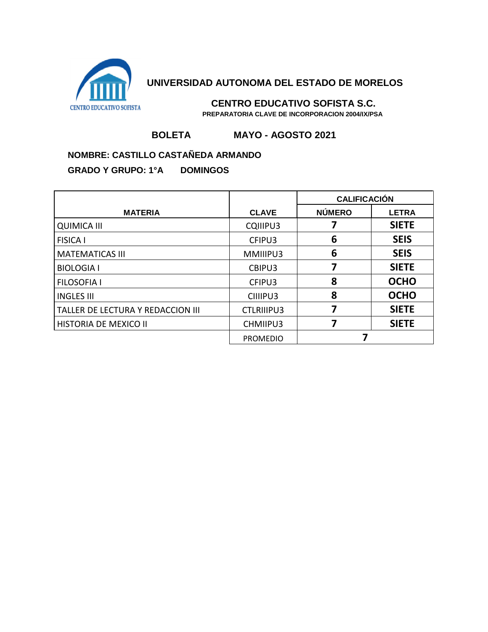

 **CENTRO EDUCATIVO SOFISTA S.C. PREPARATORIA CLAVE DE INCORPORACION 2004/IX/PSA**

# **BOLETA MAYO - AGOSTO 2021**

### **NOMBRE: CASTILLO CASTAÑEDA ARMANDO**

|                                   |                   | <b>CALIFICACIÓN</b> |              |
|-----------------------------------|-------------------|---------------------|--------------|
| <b>MATERIA</b>                    | <b>CLAVE</b>      | <b>NÚMERO</b>       | <b>LETRA</b> |
| <b>QUIMICA III</b>                | CQIIIPU3          |                     | <b>SIETE</b> |
| <b>FISICA I</b>                   | CFIPU3            | 6                   | <b>SEIS</b>  |
| <b>MATEMATICAS III</b>            | MMIIIPU3          | 6                   | <b>SEIS</b>  |
| <b>BIOLOGIA I</b>                 | CBIPU3            |                     | <b>SIETE</b> |
| <b>FILOSOFIA I</b>                | CFIPU3            | 8                   | <b>OCHO</b>  |
| <b>INGLES III</b>                 | CIIIPU3           | 8                   | <b>OCHO</b>  |
| TALLER DE LECTURA Y REDACCION III | <b>CTLRIIIPU3</b> |                     | <b>SIETE</b> |
| HISTORIA DE MEXICO II             | CHMIIPU3          |                     | <b>SIETE</b> |
|                                   | <b>PROMEDIO</b>   |                     |              |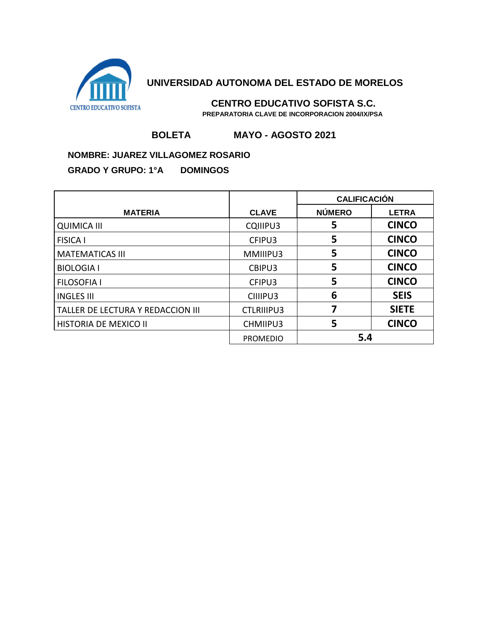

 **CENTRO EDUCATIVO SOFISTA S.C. PREPARATORIA CLAVE DE INCORPORACION 2004/IX/PSA**

## **BOLETA MAYO - AGOSTO 2021**

## **NOMBRE: JUAREZ VILLAGOMEZ ROSARIO**

|                                   |                   | <b>CALIFICACIÓN</b> |              |
|-----------------------------------|-------------------|---------------------|--------------|
| <b>MATERIA</b>                    | <b>CLAVE</b>      | <b>NÚMERO</b>       | <b>LETRA</b> |
| <b>QUIMICA III</b>                | CQIIIPU3          | 5                   | <b>CINCO</b> |
| <b>FISICA I</b>                   | CFIPU3            | 5                   | <b>CINCO</b> |
| <b>MATEMATICAS III</b>            | MMIIIPU3          | 5                   | <b>CINCO</b> |
| <b>BIOLOGIA I</b>                 | CBIPU3            | 5                   | <b>CINCO</b> |
| <b>FILOSOFIA I</b>                | CFIPU3            | 5                   | <b>CINCO</b> |
| <b>INGLES III</b>                 | CIIIPU3           | 6                   | <b>SEIS</b>  |
| TALLER DE LECTURA Y REDACCION III | <b>CTLRIIIPU3</b> |                     | <b>SIETE</b> |
| <b>HISTORIA DE MEXICO II</b>      | CHMIIPU3          | 5                   | <b>CINCO</b> |
|                                   | <b>PROMEDIO</b>   | 5.4                 |              |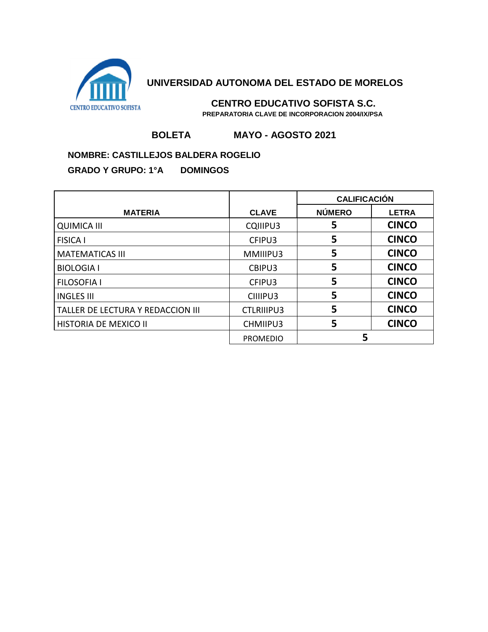

 **CENTRO EDUCATIVO SOFISTA S.C. PREPARATORIA CLAVE DE INCORPORACION 2004/IX/PSA**

## **BOLETA MAYO - AGOSTO 2021**

## **NOMBRE: CASTILLEJOS BALDERA ROGELIO**

|                                   |                   | <b>CALIFICACIÓN</b> |              |
|-----------------------------------|-------------------|---------------------|--------------|
| <b>MATERIA</b>                    | <b>CLAVE</b>      | <b>NÚMERO</b>       | <b>LETRA</b> |
| <b>QUIMICA III</b>                | CQIIIPU3          | 5                   | <b>CINCO</b> |
| <b>FISICA I</b>                   | CFIPU3            | 5                   | <b>CINCO</b> |
| <b>MATEMATICAS III</b>            | MMIIIPU3          | 5                   | <b>CINCO</b> |
| <b>BIOLOGIA I</b>                 | CBIPU3            | 5                   | <b>CINCO</b> |
| <b>FILOSOFIA I</b>                | CFIPU3            | 5                   | <b>CINCO</b> |
| <b>INGLES III</b>                 | CIIIPU3           | 5                   | <b>CINCO</b> |
| TALLER DE LECTURA Y REDACCION III | <b>CTLRIIIPU3</b> | 5                   | <b>CINCO</b> |
| <b>HISTORIA DE MEXICO II</b>      | CHMIIPU3          | 5                   | <b>CINCO</b> |
|                                   | <b>PROMEDIO</b>   |                     |              |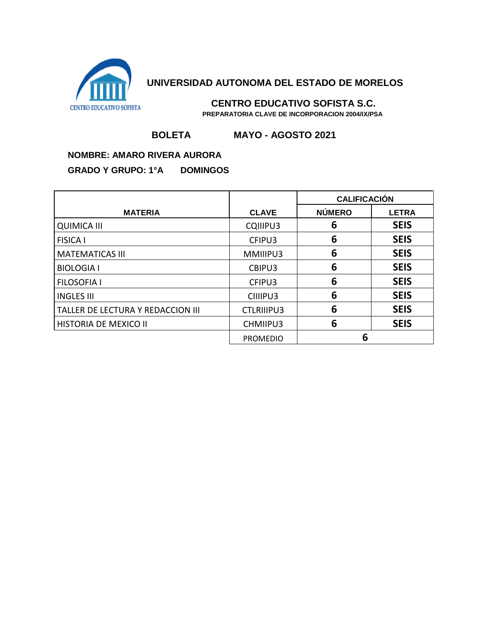

 **CENTRO EDUCATIVO SOFISTA S.C. PREPARATORIA CLAVE DE INCORPORACION 2004/IX/PSA**

# **BOLETA MAYO - AGOSTO 2021**

#### **NOMBRE: AMARO RIVERA AURORA**

|                                   |                   | <b>CALIFICACIÓN</b> |              |
|-----------------------------------|-------------------|---------------------|--------------|
| <b>MATERIA</b>                    | <b>CLAVE</b>      | <b>NÚMERO</b>       | <b>LETRA</b> |
| <b>QUIMICA III</b>                | CQIIIPU3          | 6                   | <b>SEIS</b>  |
| <b>FISICA I</b>                   | CFIPU3            | 6                   | <b>SEIS</b>  |
| <b>MATEMATICAS III</b>            | MMIIIPU3          | 6                   | <b>SEIS</b>  |
| <b>BIOLOGIA I</b>                 | CBIPU3            | 6                   | <b>SEIS</b>  |
| <b>FILOSOFIA I</b>                | CFIPU3            | 6                   | <b>SEIS</b>  |
| <b>INGLES III</b>                 | CIIIPU3           | 6                   | <b>SEIS</b>  |
| TALLER DE LECTURA Y REDACCION III | <b>CTLRIIIPU3</b> | 6                   | <b>SEIS</b>  |
| HISTORIA DE MEXICO II             | CHMIIPU3          | 6                   | <b>SEIS</b>  |
|                                   | <b>PROMEDIO</b>   | 6                   |              |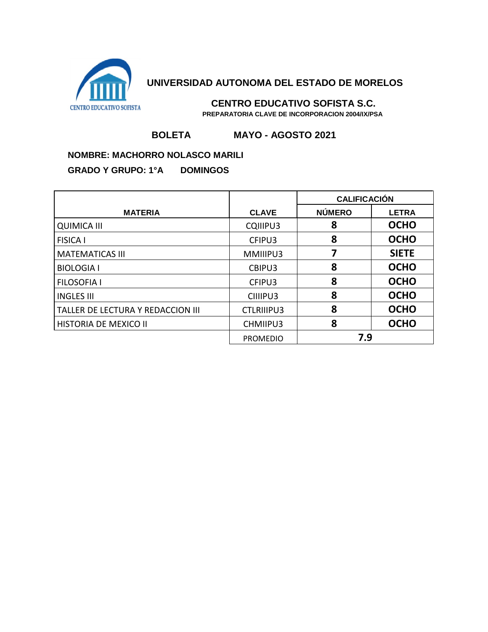

 **CENTRO EDUCATIVO SOFISTA S.C. PREPARATORIA CLAVE DE INCORPORACION 2004/IX/PSA**

# **BOLETA MAYO - AGOSTO 2021**

### **NOMBRE: MACHORRO NOLASCO MARILI**

|                                   |                   | <b>CALIFICACIÓN</b> |              |
|-----------------------------------|-------------------|---------------------|--------------|
| <b>MATERIA</b>                    | <b>CLAVE</b>      | <b>NÚMERO</b>       | <b>LETRA</b> |
| <b>QUIMICA III</b>                | CQIIIPU3          | 8                   | <b>OCHO</b>  |
| <b>FISICA I</b>                   | CFIPU3            | 8                   | <b>OCHO</b>  |
| <b>MATEMATICAS III</b>            | MMIIIPU3          |                     | <b>SIETE</b> |
| <b>BIOLOGIA I</b>                 | CBIPU3            | 8                   | <b>OCHO</b>  |
| <b>FILOSOFIA I</b>                | CFIPU3            | 8                   | <b>OCHO</b>  |
| <b>INGLES III</b>                 | CIIIPU3           | 8                   | <b>OCHO</b>  |
| TALLER DE LECTURA Y REDACCION III | <b>CTLRIIIPU3</b> | 8                   | <b>OCHO</b>  |
| HISTORIA DE MEXICO II             | CHMIIPU3          | 8                   | <b>OCHO</b>  |
|                                   | <b>PROMEDIO</b>   | 7.9                 |              |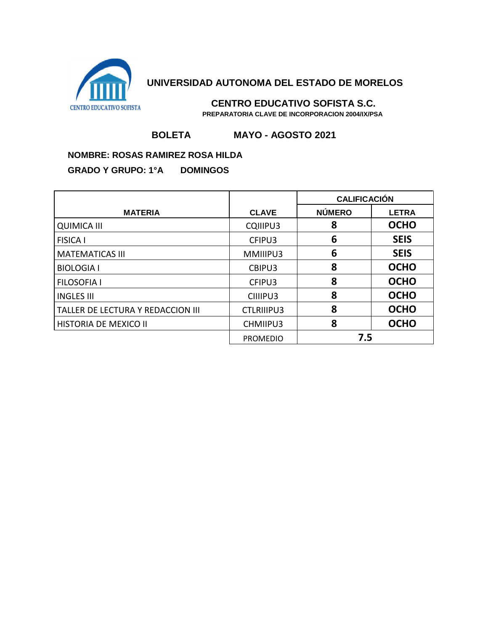

 **CENTRO EDUCATIVO SOFISTA S.C. PREPARATORIA CLAVE DE INCORPORACION 2004/IX/PSA**

# **BOLETA MAYO - AGOSTO 2021**

#### **NOMBRE: ROSAS RAMIREZ ROSA HILDA**

|                                   |                   | <b>CALIFICACIÓN</b> |              |
|-----------------------------------|-------------------|---------------------|--------------|
| <b>MATERIA</b>                    | <b>CLAVE</b>      | <b>NÚMERO</b>       | <b>LETRA</b> |
| <b>QUIMICA III</b>                | CQIIIPU3          | 8                   | <b>OCHO</b>  |
| <b>FISICA I</b>                   | CFIPU3            | 6                   | <b>SEIS</b>  |
| <b>MATEMATICAS III</b>            | MMIIIPU3          | 6                   | <b>SEIS</b>  |
| <b>BIOLOGIA I</b>                 | CBIPU3            | 8                   | <b>OCHO</b>  |
| <b>FILOSOFIA I</b>                | CFIPU3            | 8                   | <b>OCHO</b>  |
| <b>LINGLES III</b>                | CIIIPU3           | 8                   | <b>OCHO</b>  |
| TALLER DE LECTURA Y REDACCION III | <b>CTLRIIIPU3</b> | 8                   | <b>OCHO</b>  |
| HISTORIA DE MEXICO II             | CHMIIPU3          | 8                   | <b>OCHO</b>  |
|                                   | <b>PROMEDIO</b>   | 7.5                 |              |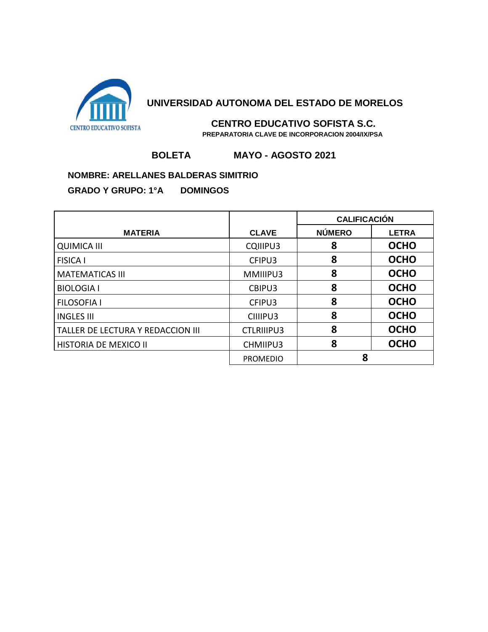

## **CENTRO EDUCATIVO SOFISTA S.C.**

 **PREPARATORIA CLAVE DE INCORPORACION 2004/IX/PSA**

# **BOLETA MAYO - AGOSTO 2021**

#### **NOMBRE: ARELLANES BALDERAS SIMITRIO**

|                                   |                   | <b>CALIFICACIÓN</b> |              |
|-----------------------------------|-------------------|---------------------|--------------|
| <b>MATERIA</b>                    | <b>CLAVE</b>      | <b>NÚMERO</b>       | <b>LETRA</b> |
| <b>QUIMICA III</b>                | CQIIIPU3          | 8                   | <b>OCHO</b>  |
| <b>FISICA I</b>                   | CFIPU3            | 8                   | <b>OCHO</b>  |
| <b>MATEMATICAS III</b>            | MMIIIPU3          | 8                   | <b>OCHO</b>  |
| <b>BIOLOGIA I</b>                 | CBIPU3            | 8                   | <b>OCHO</b>  |
| <b>FILOSOFIA I</b>                | CFIPU3            | 8                   | <b>OCHO</b>  |
| <b>INGLES III</b>                 | CIIIPU3           | 8                   | <b>OCHO</b>  |
| TALLER DE LECTURA Y REDACCION III | <b>CTLRIIIPU3</b> | 8                   | <b>OCHO</b>  |
| HISTORIA DE MEXICO II             | CHMIIPU3          | 8                   | <b>OCHO</b>  |
|                                   | <b>PROMEDIO</b>   | 8                   |              |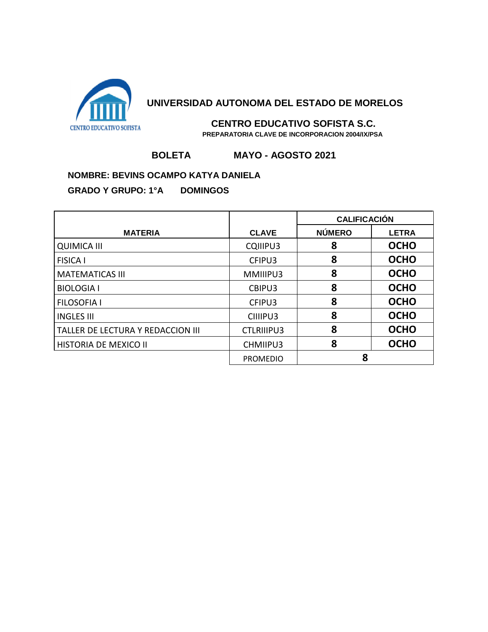

# **CENTRO EDUCATIVO SOFISTA S.C.**

 **PREPARATORIA CLAVE DE INCORPORACION 2004/IX/PSA**

# **BOLETA MAYO - AGOSTO 2021**

#### **NOMBRE: BEVINS OCAMPO KATYA DANIELA**

|                                   |                   | <b>CALIFICACIÓN</b> |              |
|-----------------------------------|-------------------|---------------------|--------------|
| <b>MATERIA</b>                    | <b>CLAVE</b>      | <b>NÚMERO</b>       | <b>LETRA</b> |
| <b>QUIMICA III</b>                | CQIIIPU3          | 8                   | <b>OCHO</b>  |
| <b>FISICA I</b>                   | CFIPU3            | 8                   | <b>OCHO</b>  |
| <b>MATEMATICAS III</b>            | MMIIIPU3          | 8                   | <b>OCHO</b>  |
| <b>BIOLOGIA I</b>                 | CBIPU3            | 8                   | <b>OCHO</b>  |
| <b>FILOSOFIA I</b>                | CFIPU3            | 8                   | <b>OCHO</b>  |
| <b>INGLES III</b>                 | CIIIPU3           | 8                   | <b>OCHO</b>  |
| TALLER DE LECTURA Y REDACCION III | <b>CTLRIIIPU3</b> | 8                   | <b>OCHO</b>  |
| HISTORIA DE MEXICO II             | CHMIIPU3          | 8                   | <b>OCHO</b>  |
|                                   | <b>PROMEDIO</b>   | 8                   |              |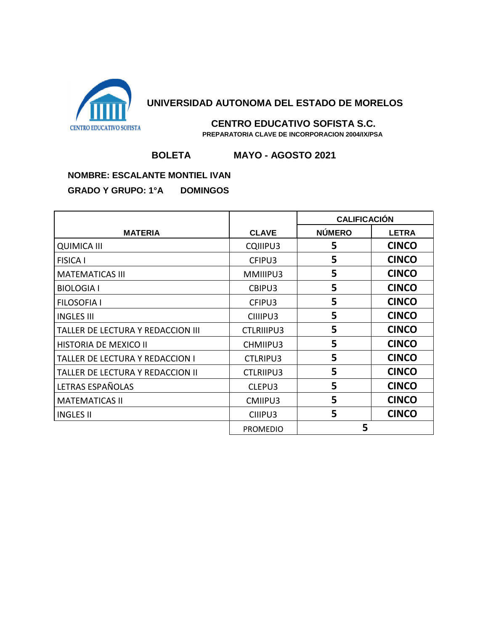

#### **CENTRO EDUCATIVO SOFISTA S.C. PREPARATORIA CLAVE DE INCORPORACION 2004/IX/PSA**

# **BOLETA MAYO - AGOSTO 2021**

#### **NOMBRE: ESCALANTE MONTIEL IVAN**

|                                   |                   | <b>CALIFICACIÓN</b> |              |
|-----------------------------------|-------------------|---------------------|--------------|
| <b>MATERIA</b>                    | <b>CLAVE</b>      | <b>NÚMERO</b>       | <b>LETRA</b> |
| <b>QUIMICA III</b>                | CQIIIPU3          | 5                   | <b>CINCO</b> |
| <b>FISICA I</b>                   | CFIPU3            | 5                   | <b>CINCO</b> |
| <b>MATEMATICAS III</b>            | MMIIIPU3          | 5                   | <b>CINCO</b> |
| <b>BIOLOGIA I</b>                 | CBIPU3            | 5                   | <b>CINCO</b> |
| <b>FILOSOFIA I</b>                | CFIPU3            | 5                   | <b>CINCO</b> |
| <b>INGLES III</b>                 | CIIIPU3           | 5                   | <b>CINCO</b> |
| TALLER DE LECTURA Y REDACCION III | <b>CTLRIIIPU3</b> | 5                   | <b>CINCO</b> |
| HISTORIA DE MEXICO II             | CHMIIPU3          | 5                   | <b>CINCO</b> |
| TALLER DE LECTURA Y REDACCION I   | CTLRIPU3          | 5                   | <b>CINCO</b> |
| TALLER DE LECTURA Y REDACCION II  | <b>CTLRIIPU3</b>  | 5                   | <b>CINCO</b> |
| LETRAS ESPAÑOLAS                  | CLEPU3            | 5                   | <b>CINCO</b> |
| <b>MATEMATICAS II</b>             | CMIIPU3           | 5                   | <b>CINCO</b> |
| <b>INGLES II</b>                  | CIIIPU3           | 5                   | <b>CINCO</b> |
|                                   | <b>PROMEDIO</b>   | 5                   |              |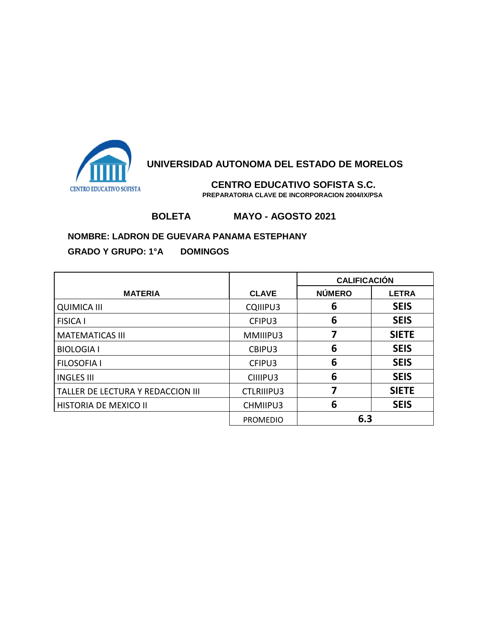

 **CENTRO EDUCATIVO SOFISTA S.C. PREPARATORIA CLAVE DE INCORPORACION 2004/IX/PSA**

## **BOLETA MAYO - AGOSTO 2021**

# **NOMBRE: LADRON DE GUEVARA PANAMA ESTEPHANY**

|                                   |                   | <b>CALIFICACIÓN</b> |              |
|-----------------------------------|-------------------|---------------------|--------------|
| <b>MATERIA</b>                    | <b>CLAVE</b>      | <b>NÚMERO</b>       | <b>LETRA</b> |
| <b>QUIMICA III</b>                | CQIIIPU3          | 6                   | <b>SEIS</b>  |
| FISICA I                          | CFIPU3            | 6                   | <b>SEIS</b>  |
| <b>MATEMATICAS III</b>            | MMIIIPU3          |                     | <b>SIETE</b> |
| <b>BIOLOGIA I</b>                 | CBIPU3            | 6                   | <b>SEIS</b>  |
| <b>FILOSOFIA I</b>                | CFIPU3            | 6                   | <b>SEIS</b>  |
| <b>LINGLES III</b>                | CIIIPU3           | 6                   | <b>SEIS</b>  |
| TALLER DE LECTURA Y REDACCION III | <b>CTLRIIIPU3</b> |                     | <b>SIETE</b> |
| I HISTORIA DE MEXICO II           | CHMIIPU3          | 6                   | <b>SEIS</b>  |
|                                   | <b>PROMEDIO</b>   | 6.3                 |              |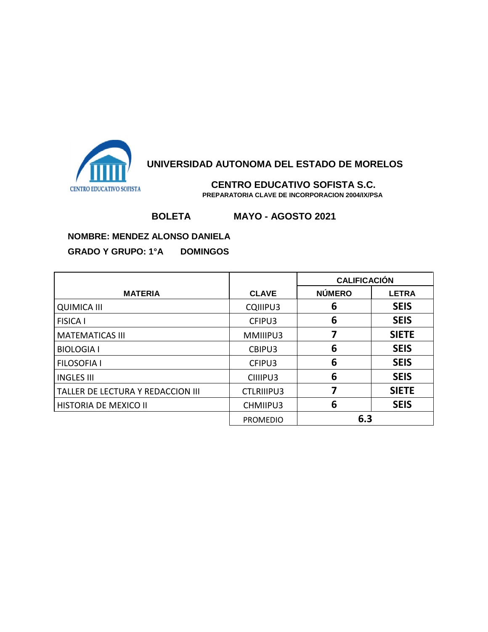

 **CENTRO EDUCATIVO SOFISTA S.C. PREPARATORIA CLAVE DE INCORPORACION 2004/IX/PSA**

# **BOLETA MAYO - AGOSTO 2021**

**NOMBRE: MENDEZ ALONSO DANIELA GRADO Y GRUPO: 1°A DOMINGOS**

|                                   |                   | <b>CALIFICACIÓN</b> |              |
|-----------------------------------|-------------------|---------------------|--------------|
| <b>MATERIA</b>                    | <b>CLAVE</b>      | <b>NÚMERO</b>       | <b>LETRA</b> |
| <b>QUIMICA III</b>                | CQIIIPU3          | 6                   | <b>SEIS</b>  |
| <b>FISICA I</b>                   | CFIPU3            | 6                   | <b>SEIS</b>  |
| <b>MATEMATICAS III</b>            | MMIIIPU3          |                     | <b>SIETE</b> |
| <b>BIOLOGIA I</b>                 | CBIPU3            | 6                   | <b>SEIS</b>  |
| <b>FILOSOFIA I</b>                | CFIPU3            | 6                   | <b>SEIS</b>  |
| <b>INGLES III</b>                 | CIIIPU3           | 6                   | <b>SEIS</b>  |
| TALLER DE LECTURA Y REDACCION III | <b>CTLRIIIPU3</b> |                     | <b>SIETE</b> |
| <b>HISTORIA DE MEXICO II</b>      | CHMIIPU3          | 6                   | <b>SEIS</b>  |
|                                   | <b>PROMEDIO</b>   | 6.3                 |              |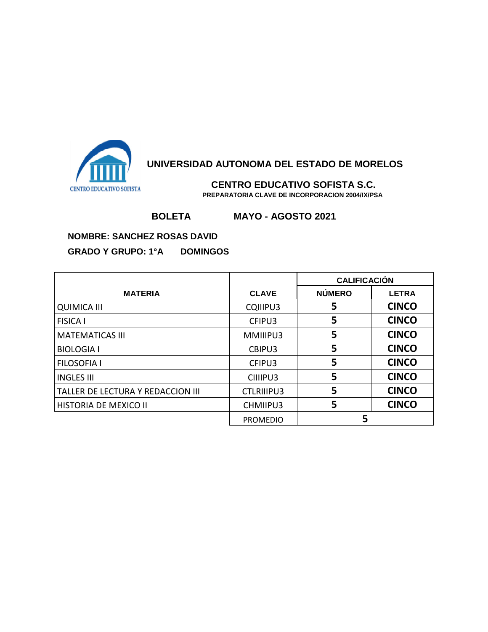

 **CENTRO EDUCATIVO SOFISTA S.C. PREPARATORIA CLAVE DE INCORPORACION 2004/IX/PSA**

# **BOLETA MAYO - AGOSTO 2021**

### **NOMBRE: SANCHEZ ROSAS DAVID**

|                                   |                   | <b>CALIFICACIÓN</b> |              |
|-----------------------------------|-------------------|---------------------|--------------|
| <b>MATERIA</b>                    | <b>CLAVE</b>      | <b>NÚMERO</b>       | <b>LETRA</b> |
| <b>QUIMICA III</b>                | CQIIIPU3          | 5                   | <b>CINCO</b> |
| <b>FISICA I</b>                   | CFIPU3            | 5                   | <b>CINCO</b> |
| <b>MATEMATICAS III</b>            | MMIIIPU3          | 5                   | <b>CINCO</b> |
| <b>BIOLOGIA I</b>                 | CBIPU3            | 5                   | <b>CINCO</b> |
| <b>FILOSOFIA I</b>                | CFIPU3            | 5                   | <b>CINCO</b> |
| <b>INGLES III</b>                 | CIIIPU3           | 5                   | <b>CINCO</b> |
| TALLER DE LECTURA Y REDACCION III | <b>CTLRIIIPU3</b> | 5                   | <b>CINCO</b> |
| I HISTORIA DE MEXICO II           | CHMIIPU3          | 5                   | <b>CINCO</b> |
|                                   | <b>PROMEDIO</b>   |                     |              |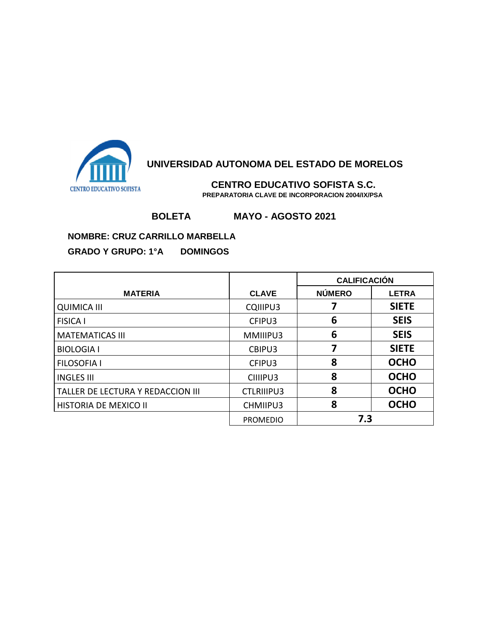

 **CENTRO EDUCATIVO SOFISTA S.C. PREPARATORIA CLAVE DE INCORPORACION 2004/IX/PSA**

# **BOLETA MAYO - AGOSTO 2021**

**NOMBRE: CRUZ CARRILLO MARBELLA GRADO Y GRUPO: 1°A DOMINGOS**

|                                   |                   | <b>CALIFICACIÓN</b> |              |
|-----------------------------------|-------------------|---------------------|--------------|
| <b>MATERIA</b>                    | <b>CLAVE</b>      | <b>NÚMERO</b>       | <b>LETRA</b> |
| <b>QUIMICA III</b>                | CQIIIPU3          |                     | <b>SIETE</b> |
| <b>FISICA I</b>                   | CFIPU3            | 6                   | <b>SEIS</b>  |
| <b>MATEMATICAS III</b>            | MMIIIPU3          | 6                   | <b>SEIS</b>  |
| <b>BIOLOGIA I</b>                 | CBIPU3            |                     | <b>SIETE</b> |
| <b>FILOSOFIA I</b>                | CFIPU3            | 8                   | <b>OCHO</b>  |
| <b>INGLES III</b>                 | CIIIPU3           | 8                   | <b>OCHO</b>  |
| TALLER DE LECTURA Y REDACCION III | <b>CTLRIIIPU3</b> | 8                   | <b>OCHO</b>  |
| HISTORIA DE MEXICO II             | CHMIIPU3          | 8                   | <b>OCHO</b>  |
|                                   | <b>PROMEDIO</b>   | 7.3                 |              |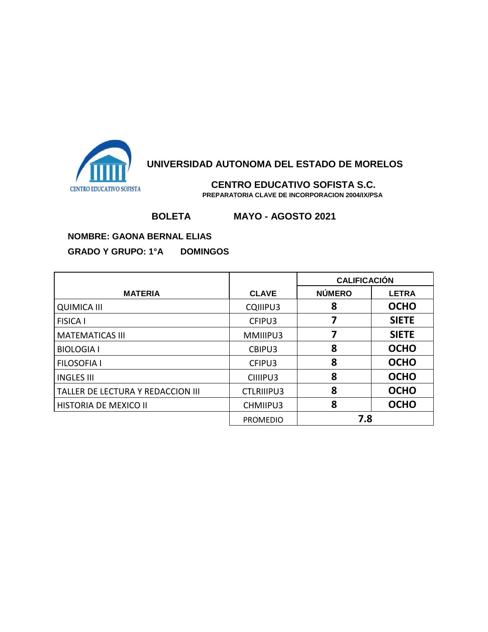

 **CENTRO EDUCATIVO SOFISTA S.C. PREPARATORIA CLAVE DE INCORPORACION 2004/IX/PSA**

## **BOLETA MAYO - AGOSTO 2021**

#### **NOMBRE: GAONA BERNAL ELIAS**

|                                   |                   | <b>CALIFICACIÓN</b> |              |
|-----------------------------------|-------------------|---------------------|--------------|
| <b>MATERIA</b>                    | <b>CLAVE</b>      | <b>NÚMERO</b>       | <b>LETRA</b> |
| <b>QUIMICA III</b>                | CQIIIPU3          | 8                   | <b>OCHO</b>  |
| <b>FISICA I</b>                   | CFIPU3            |                     | <b>SIETE</b> |
| <b>MATEMATICAS III</b>            | MMIIIPU3          |                     | <b>SIETE</b> |
| <b>BIOLOGIA I</b>                 | CBIPU3            | 8                   | <b>OCHO</b>  |
| <b>FILOSOFIA I</b>                | CFIPU3            | 8                   | <b>OCHO</b>  |
| <b>INGLES III</b>                 | CIIIPU3           | 8                   | <b>OCHO</b>  |
| TALLER DE LECTURA Y REDACCION III | <b>CTLRIIIPU3</b> | 8                   | <b>OCHO</b>  |
| HISTORIA DE MEXICO II             | CHMIIPU3          | 8                   | <b>OCHO</b>  |
|                                   | <b>PROMEDIO</b>   | 7.8                 |              |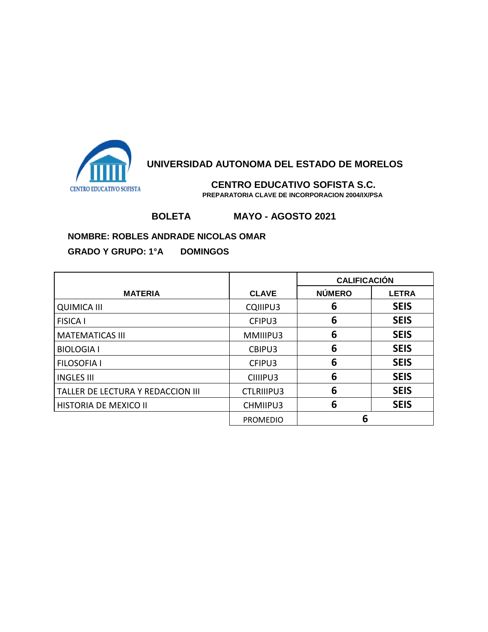

 **CENTRO EDUCATIVO SOFISTA S.C. PREPARATORIA CLAVE DE INCORPORACION 2004/IX/PSA**

## **BOLETA MAYO - AGOSTO 2021**

**NOMBRE: ROBLES ANDRADE NICOLAS OMAR** 

|                                   |                   | <b>CALIFICACIÓN</b> |              |
|-----------------------------------|-------------------|---------------------|--------------|
| <b>MATERIA</b>                    | <b>CLAVE</b>      | <b>NÚMERO</b>       | <b>LETRA</b> |
| <b>QUIMICA III</b>                | CQIIIPU3          | 6                   | <b>SEIS</b>  |
| <b>FISICA I</b>                   | CFIPU3            | 6                   | <b>SEIS</b>  |
| <b>MATEMATICAS III</b>            | MMIIIPU3          | 6                   | <b>SEIS</b>  |
| <b>BIOLOGIA I</b>                 | CBIPU3            | 6                   | <b>SEIS</b>  |
| <b>FILOSOFIA I</b>                | CFIPU3            | 6                   | <b>SEIS</b>  |
| <b>INGLES III</b>                 | CIIIPU3           | 6                   | <b>SEIS</b>  |
| TALLER DE LECTURA Y REDACCION III | <b>CTLRIIIPU3</b> | 6                   | <b>SEIS</b>  |
| HISTORIA DE MEXICO II             | CHMIIPU3          | 6                   | <b>SEIS</b>  |
|                                   | <b>PROMEDIO</b>   | 6                   |              |